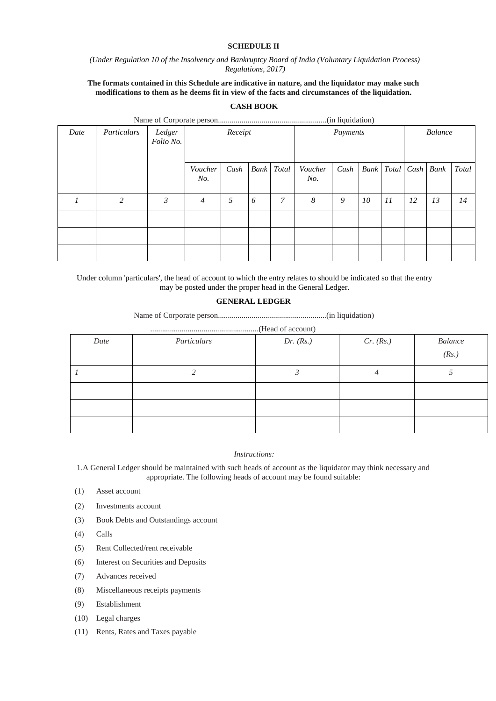### **SCHEDULE II**

### *(Under Regulation 10 of the Insolvency and Bankruptcy Board of India (Voluntary Liquidation Process) Regulations, 2017)*

### **The formats contained in this Schedule are indicative in nature, and the liquidator may make such modifications to them as he deems fit in view of the facts and circumstances of the liquidation.**

# **CASH BOOK**

| Date | Particulars | Ledger<br>Folio No. |                | Receipt | Payments |       |                |      | <b>Balance</b> |                 |    |    |       |
|------|-------------|---------------------|----------------|---------|----------|-------|----------------|------|----------------|-----------------|----|----|-------|
|      |             |                     | Voucher<br>No. | Cash    | Bank     | Total | Voucher<br>No. | Cash | Bank           | Total Cash Bank |    |    | Total |
|      | 2           | 3                   | 4              | 5       | 6        | 7     | 8              | 9    | 10             | 11              | 12 | 13 | 14    |
|      |             |                     |                |         |          |       |                |      |                |                 |    |    |       |
|      |             |                     |                |         |          |       |                |      |                |                 |    |    |       |
|      |             |                     |                |         |          |       |                |      |                |                 |    |    |       |

Under column 'particulars', the head of account to which the entry relates to should be indicated so that the entry may be posted under the proper head in the General Ledger.

#### **GENERAL LEDGER**

Name of Corporate person.......................................................(in liquidation)

.......................................................(Head of account)

| Date | Particulars | Dr. $(Rs.)$ | Cr. (Rs.) | Balance<br>(Rs.) |
|------|-------------|-------------|-----------|------------------|
|      |             |             |           |                  |
|      |             |             |           |                  |
|      |             |             |           |                  |
|      |             |             |           |                  |

## *Instructions:*

1.A General Ledger should be maintained with such heads of account as the liquidator may think necessary and appropriate. The following heads of account may be found suitable:

- (1) Asset account
- (2) Investments account
- (3) Book Debts and Outstandings account
- (4) Calls
- (5) Rent Collected/rent receivable
- (6) Interest on Securities and Deposits
- (7) Advances received
- (8) Miscellaneous receipts payments
- (9) Establishment
- (10) Legal charges
- (11) Rents, Rates and Taxes payable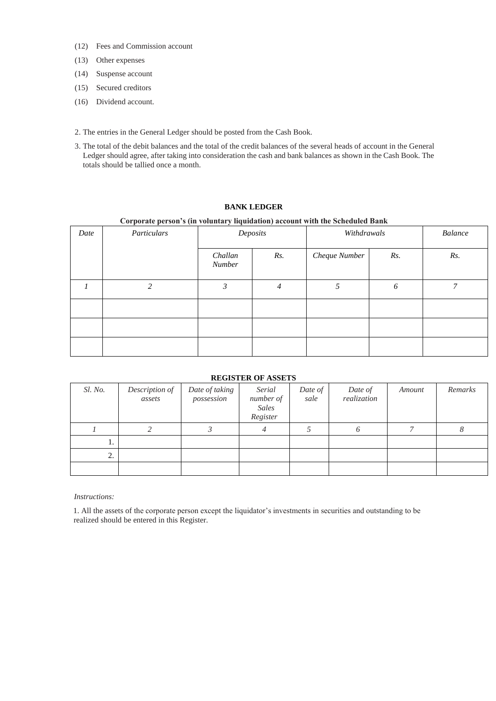- (12) Fees and Commission account
- (13) Other expenses
- (14) Suspense account
- (15) Secured creditors
- (16) Dividend account.
- 2. The entries in the General Ledger should be posted from the Cash Book.
- 3. The total of the debit balances and the total of the credit balances of the several heads of account in the General Ledger should agree, after taking into consideration the cash and bank balances as shown in the Cash Book. The totals should be tallied once a month.

# **BANK LEDGER**

### **Corporate person's (in voluntary liquidation) account with the Scheduled Bank**

| Date | Particulars |                   | Deposits       | Withdrawals   | <b>Balance</b> |     |
|------|-------------|-------------------|----------------|---------------|----------------|-----|
|      |             | Challan<br>Number | Rs.            | Cheque Number | Rs.            | Rs. |
|      | າ           | $\mathfrak{Z}$    | $\overline{4}$ | 5             | 6              | 7   |
|      |             |                   |                |               |                |     |
|      |             |                   |                |               |                |     |
|      |             |                   |                |               |                |     |

## **REGISTER OF ASSETS**

| Sl. No. | Description of<br>assets | Date of taking<br>possession | Serial<br>number of<br>Sales<br>Register | Date of<br>sale | Date of<br>realization | Amount | Remarks |
|---------|--------------------------|------------------------------|------------------------------------------|-----------------|------------------------|--------|---------|
|         |                          |                              |                                          |                 |                        |        |         |
| .,      |                          |                              |                                          |                 |                        |        |         |
| 2.      |                          |                              |                                          |                 |                        |        |         |
|         |                          |                              |                                          |                 |                        |        |         |

#### *Instructions:*

1. All the assets of the corporate person except the liquidator's investments in securities and outstanding to be realized should be entered in this Register.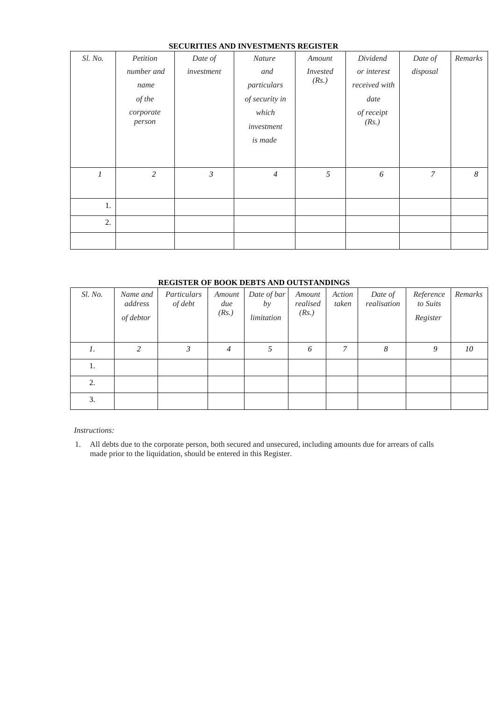|         |                                                                 |                       | SECURITIES AND INVESTMENTS REGISTER                                                     |                                    |                                                                         |                     |                  |
|---------|-----------------------------------------------------------------|-----------------------|-----------------------------------------------------------------------------------------|------------------------------------|-------------------------------------------------------------------------|---------------------|------------------|
| Sl. No. | Petition<br>number and<br>name<br>of the<br>corporate<br>person | Date of<br>investment | <b>Nature</b><br>and<br>particulars<br>of security in<br>which<br>investment<br>is made | Amount<br><i>Invested</i><br>(Rs.) | Dividend<br>or interest<br>received with<br>date<br>of receipt<br>(Rs.) | Date of<br>disposal | Remarks          |
| 1       | $\overline{c}$                                                  | $\mathfrak{Z}$        | $\overline{4}$                                                                          | 5                                  | 6                                                                       | $\mathcal{I}$       | $\boldsymbol{8}$ |
| 1.      |                                                                 |                       |                                                                                         |                                    |                                                                         |                     |                  |
| 2.      |                                                                 |                       |                                                                                         |                                    |                                                                         |                     |                  |
|         |                                                                 |                       |                                                                                         |                                    |                                                                         |                     |                  |

# **SECURITIES AND INVESTMENTS REGISTER**

# **REGISTER OF BOOK DEBTS AND OUTSTANDINGS**

| Sl. No. | Name and<br>address<br>of debtor | Particulars<br>of debt | Amount<br>due<br>(Rs.) | Date of bar<br>by<br>limitation | Amount<br>realised<br>(Rs.) | Action<br>taken | Date of<br>realisation | Reference<br>to Suits<br>Register | Remarks |
|---------|----------------------------------|------------------------|------------------------|---------------------------------|-----------------------------|-----------------|------------------------|-----------------------------------|---------|
| 1.      | 2                                | 3                      | $\overline{4}$         | 5                               | 6                           | 7               | 8                      | 9                                 | 10      |
| 1.      |                                  |                        |                        |                                 |                             |                 |                        |                                   |         |
| 2.      |                                  |                        |                        |                                 |                             |                 |                        |                                   |         |
| 3.      |                                  |                        |                        |                                 |                             |                 |                        |                                   |         |

*Instructions:* 

1. All debts due to the corporate person, both secured and unsecured, including amounts due for arrears of calls made prior to the liquidation, should be entered in this Register.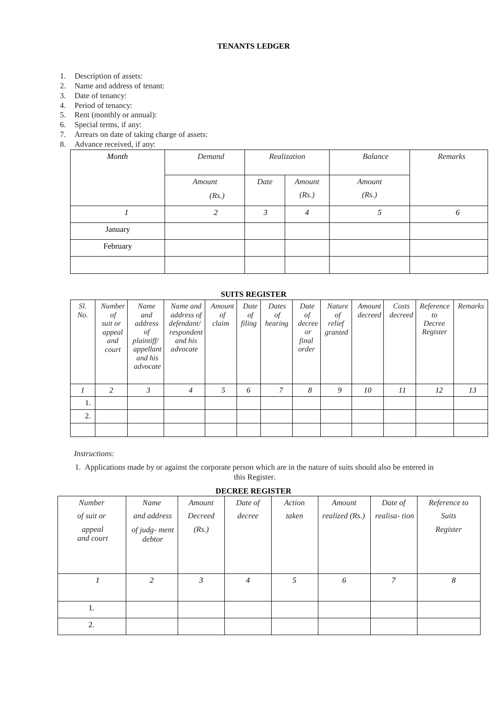- 1. Description of assets:
- 2. Name and address of tenant:
- 3. Date of tenancy:
- 4. Period of tenancy:
- 5. Rent (monthly or annual):
- 6. Special terms, if any:
- 7. Arrears on date of taking charge of assets:
- 8. Advance received, if any:

| $\overline{\phantom{a}}$<br>Month | Demand          | Realization             |                | <b>Balance</b>  | Remarks |
|-----------------------------------|-----------------|-------------------------|----------------|-----------------|---------|
|                                   | Amount<br>(Rs.) | Date<br>Amount<br>(Rs.) |                | Amount<br>(Rs.) |         |
|                                   | 2               | 3                       | $\overline{4}$ |                 | 6       |
| January                           |                 |                         |                |                 |         |
| February                          |                 |                         |                |                 |         |
|                                   |                 |                         |                |                 |         |

# **SUITS REGISTER**

| Sl.<br>No. | <b>Number</b><br>of<br>suit or<br>appeal<br>and<br>court | Name<br>and<br>address<br>of<br>plaintiff/<br>appellant<br>and his<br>advocate | Name and<br>address of<br>defendant/<br>respondent<br>and his<br>advocate | Amount<br>$\mathcal{Q}f$<br>claim | Date<br>$\phi$ f<br>filing | Dates<br>$\circ f$<br>hearing | Date<br>of<br>decree<br><i>or</i><br>final<br>order | Nature<br>of<br>relief<br>granted | Amount<br>decreed | Costs<br>decreed | Reference<br>to<br>Decree<br>Register | Remarks |
|------------|----------------------------------------------------------|--------------------------------------------------------------------------------|---------------------------------------------------------------------------|-----------------------------------|----------------------------|-------------------------------|-----------------------------------------------------|-----------------------------------|-------------------|------------------|---------------------------------------|---------|
|            | 2                                                        | 3                                                                              | $\overline{4}$                                                            | 5                                 | 6                          | 7                             | 8                                                   | 9                                 | 10                | 11               | 12                                    | 13      |
| 1.         |                                                          |                                                                                |                                                                           |                                   |                            |                               |                                                     |                                   |                   |                  |                                       |         |
| 2.         |                                                          |                                                                                |                                                                           |                                   |                            |                               |                                                     |                                   |                   |                  |                                       |         |
|            |                                                          |                                                                                |                                                                           |                                   |                            |                               |                                                     |                                   |                   |                  |                                       |         |

*Instructions:* 

1. Applications made by or against the corporate person which are in the nature of suits should also be entered in this Register.

**DECREE REGISTER** 

|                     |                        |                | <b>DECIME REGISTER</b> |        |                  |              |              |
|---------------------|------------------------|----------------|------------------------|--------|------------------|--------------|--------------|
| <b>Number</b>       | Name                   | Amount         | Date of                | Action | Amount           | Date of      | Reference to |
| of suit or          | and address            | Decreed        | decree                 | taken  | realized $(Rs.)$ | realisa-tion | <b>Suits</b> |
| appeal<br>and court | of judg-ment<br>debtor | (Rs.)          |                        |        |                  |              | Register     |
|                     | $\overline{2}$         | $\mathfrak{Z}$ | $\overline{4}$         | 5      | 6                | 7            | 8            |
| 1.                  |                        |                |                        |        |                  |              |              |
| 2.                  |                        |                |                        |        |                  |              |              |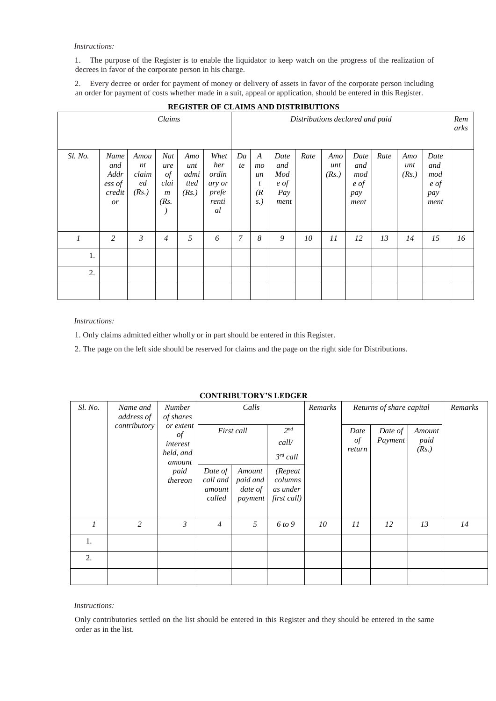#### *Instructions:*

1. The purpose of the Register is to enable the liquidator to keep watch on the progress of the realization of decrees in favor of the corporate person in his charge.

2. Every decree or order for payment of money or delivery of assets in favor of the corporate person including an order for payment of costs whether made in a suit, appeal or application, should be entered in this Register.

| Claims        |                                               |                                    |                                                                 |                                     |                                                        | Distributions declared and paid |                                                |                                           |      |                     |                                                      |      |                     | Rem<br>arks                               |    |
|---------------|-----------------------------------------------|------------------------------------|-----------------------------------------------------------------|-------------------------------------|--------------------------------------------------------|---------------------------------|------------------------------------------------|-------------------------------------------|------|---------------------|------------------------------------------------------|------|---------------------|-------------------------------------------|----|
| Sl. No.       | Name<br>and<br>Addr<br>ess of<br>credit<br>or | Amou<br>nt<br>claim<br>ed<br>(Rs.) | Nat<br>ure<br>$\mathcal{Q}$<br>clai<br>$\boldsymbol{m}$<br>(Rs) | Amo<br>unt<br>admi<br>tted<br>(Rs.) | Whet<br>her<br>ordin<br>ary or<br>prefe<br>renti<br>al | Da<br>te                        | $\boldsymbol{A}$<br>mo<br>un<br>t<br>(R)<br>S. | Date<br>and<br>Mod<br>e of<br>Pay<br>ment | Rate | Amo<br>unt<br>(Rs.) | Date<br>and<br>mod<br>$e \text{ of }$<br>pay<br>ment | Rate | Amo<br>unt<br>(Rs.) | Date<br>and<br>mod<br>e of<br>pay<br>ment |    |
| $\mathcal{I}$ | 2                                             | 3                                  | $\overline{4}$                                                  | 5                                   | 6                                                      | $\mathcal{I}$                   | 8                                              | 9                                         | 10   | II                  | 12                                                   | 13   | 14                  | 15                                        | 16 |
| 1.            |                                               |                                    |                                                                 |                                     |                                                        |                                 |                                                |                                           |      |                     |                                                      |      |                     |                                           |    |
| 2.            |                                               |                                    |                                                                 |                                     |                                                        |                                 |                                                |                                           |      |                     |                                                      |      |                     |                                           |    |
|               |                                               |                                    |                                                                 |                                     |                                                        |                                 |                                                |                                           |      |                     |                                                      |      |                     |                                           |    |

# **REGISTER OF CLAIMS AND DISTRIBUTIONS**

*Instructions:* 

1. Only claims admitted either wholly or in part should be entered in this Register.

2. The page on the left side should be reserved for claims and the page on the right side for Distributions.

| COMINIDUTONI 9 LEDGEN |                                                                    |                 |                                         |                                          |                                                                |                                     |                    |                         |    |         |  |  |
|-----------------------|--------------------------------------------------------------------|-----------------|-----------------------------------------|------------------------------------------|----------------------------------------------------------------|-------------------------------------|--------------------|-------------------------|----|---------|--|--|
| Sl. No.               | Name and<br><b>Number</b><br>of shares<br>address of               |                 |                                         | Calls                                    |                                                                | Remarks<br>Returns of share capital |                    |                         |    | Remarks |  |  |
|                       | contributory<br>or extent<br>of<br>interest<br>held, and<br>amount |                 | First call                              | $2^{nd}$<br>call/                        |                                                                | Date<br>of<br>return                | Date of<br>Payment | Amount<br>paid<br>(Rs.) |    |         |  |  |
|                       |                                                                    | paid<br>thereon | Date of<br>call and<br>amount<br>called | Amount<br>paid and<br>date of<br>payment | $3^{rd}$ call<br>(Repeat<br>columns<br>as under<br>first call) |                                     |                    |                         |    |         |  |  |
| $\mathcal{I}$         | 2                                                                  | $\mathfrak{Z}$  | $\overline{4}$                          | 5                                        | 6 to 9                                                         | 10                                  | II                 | 12                      | 13 | 14      |  |  |
| 1.                    |                                                                    |                 |                                         |                                          |                                                                |                                     |                    |                         |    |         |  |  |
| 2.                    |                                                                    |                 |                                         |                                          |                                                                |                                     |                    |                         |    |         |  |  |
|                       |                                                                    |                 |                                         |                                          |                                                                |                                     |                    |                         |    |         |  |  |

### **CONTRIBUTORY'S LEDGER**

*Instructions:* 

Only contributories settled on the list should be entered in this Register and they should be entered in the same order as in the list.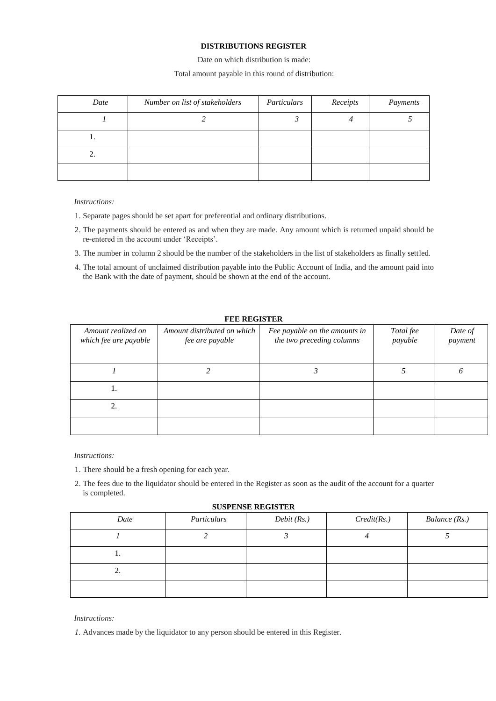# **DISTRIBUTIONS REGISTER**

Date on which distribution is made:

### Total amount payable in this round of distribution:

| Date | Number on list of stakeholders | Particulars | Receipts | Payments |
|------|--------------------------------|-------------|----------|----------|
|      |                                |             |          |          |
|      |                                |             |          |          |
| ۷.   |                                |             |          |          |
|      |                                |             |          |          |

#### *Instructions:*

- 1. Separate pages should be set apart for preferential and ordinary distributions.
- 2. The payments should be entered as and when they are made. Any amount which is returned unpaid should be re-entered in the account under 'Receipts'.
- 3. The number in column 2 should be the number of the stakeholders in the list of stakeholders as finally settled.
- 4. The total amount of unclaimed distribution payable into the Public Account of India, and the amount paid into the Bank with the date of payment, should be shown at the end of the account.

# **FEE REGISTER**

| Amount realized on<br>which fee are payable | Amount distributed on which<br>fee are payable | Fee payable on the amounts in<br>the two preceding columns | Total fee<br>payable | Date of<br>payment |
|---------------------------------------------|------------------------------------------------|------------------------------------------------------------|----------------------|--------------------|
|                                             |                                                |                                                            |                      |                    |
| 1.                                          |                                                |                                                            |                      |                    |
|                                             |                                                |                                                            |                      |                    |
|                                             |                                                |                                                            |                      |                    |

### *Instructions:*

- 1. There should be a fresh opening for each year.
- 2. The fees due to the liquidator should be entered in the Register as soon as the audit of the account for a quarter is completed.

### **SUSPENSE REGISTER**

| Date | Particulars | Debit(Rs.) | Credit(Rs.) | Balance (Rs.) |
|------|-------------|------------|-------------|---------------|
|      |             |            |             |               |
| . .  |             |            |             |               |
| 2.   |             |            |             |               |
|      |             |            |             |               |

### *Instructions:*

*1.* Advances made by the liquidator to any person should be entered in this Register.